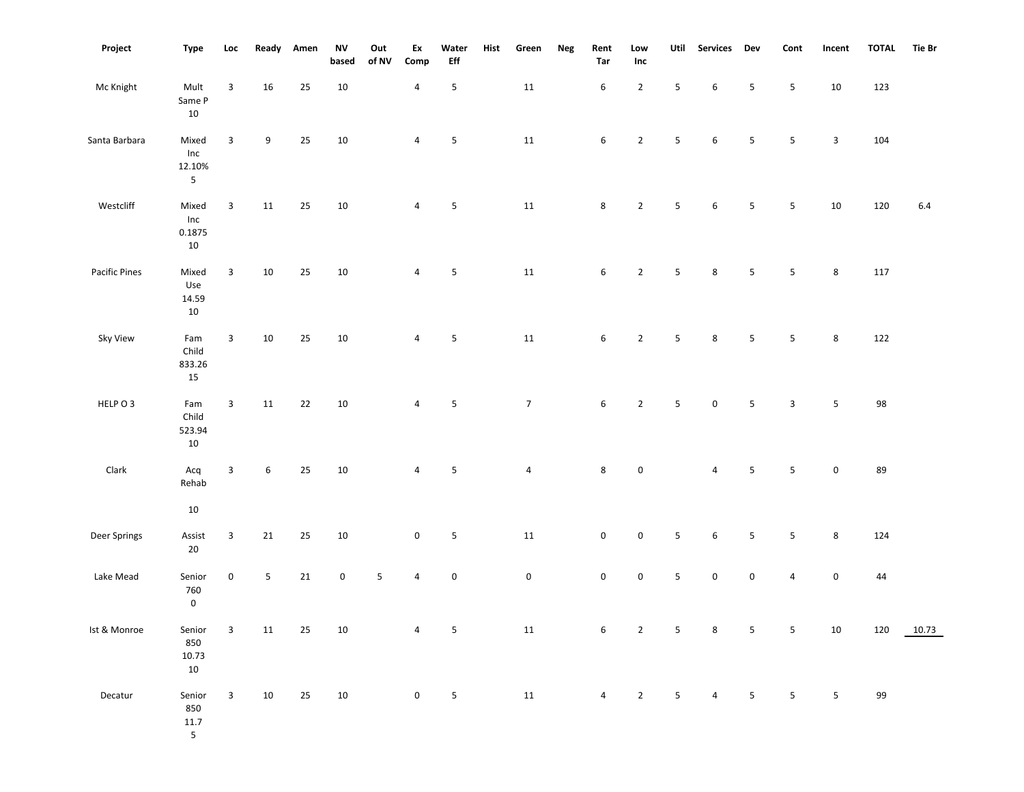| Project       | Type                                     | Loc          | Ready  | Amen | <b>NV</b><br>based | Out<br>of NV | Ex<br>Comp     | Water<br>$_{\rm Eff}$ | Hist | Green          | Neg | Rent<br>Tar         | Low<br>Inc     | Util                    | Services         | Dev                     | Cont                    | Incent       | <b>TOTAL</b> | <b>Tie Br</b> |
|---------------|------------------------------------------|--------------|--------|------|--------------------|--------------|----------------|-----------------------|------|----------------|-----|---------------------|----------------|-------------------------|------------------|-------------------------|-------------------------|--------------|--------------|---------------|
| Mc Knight     | Mult<br>Same P<br>10                     | 3            | 16     | 25   | $10\,$             |              | 4              | 5                     |      | 11             |     | $\,6\,$             | $\overline{2}$ | 5                       | $\boldsymbol{6}$ | 5                       | 5                       | 10           | 123          |               |
| Santa Barbara | Mixed<br>Inc<br>12.10%<br>5 <sub>1</sub> | 3            | 9      | 25   | 10                 |              | $\overline{4}$ | 5                     |      | $11\,$         |     | 6                   | $\overline{2}$ | $5\phantom{.0}$         | 6                | $5\phantom{.0}$         | 5 <sub>1</sub>          | $\mathbf{3}$ | 104          |               |
| Westcliff     | Mixed<br>Inc<br>0.1875<br>$10\,$         | 3            | 11     | 25   | 10                 |              | 4              | 5                     |      | $11\,$         |     | 8                   | $\overline{2}$ | $5\phantom{.0}$         | $\boldsymbol{6}$ | 5                       | 5                       | 10           | 120          | 6.4           |
| Pacific Pines | Mixed<br>Use<br>14.59<br>$10\,$          | $\mathbf{3}$ | 10     | 25   | $10\,$             |              | $\overline{4}$ | 5                     |      | $11\,$         |     | $\,6\,$             | $\overline{2}$ | $5\phantom{.0}$         | 8                | 5                       | $5\phantom{.0}$         | 8            | 117          |               |
| Sky View      | Fam<br>Child<br>833.26<br>15             | 3            | 10     | 25   | 10                 |              | $\overline{4}$ | 5                     |      | 11             |     | 6                   | $\overline{2}$ | $5\phantom{.0}$         | 8                | 5                       | 5                       | 8            | 122          |               |
| HELP O 3      | Fam<br>Child<br>523.94<br>10             | $\mathbf{3}$ | 11     | 22   | $10\,$             |              | $\overline{4}$ | 5                     |      | $\overline{7}$ |     | $6\overline{6}$     | $\overline{2}$ | $\overline{5}$          | $\mathbf 0$      | $5\phantom{.0}$         | $\overline{3}$          | 5            | 98           |               |
| Clark         | Acq<br>Rehab<br>10                       | $\mathbf{3}$ | 6      | 25   | $10\,$             |              | 4              | 5                     |      | 4              |     | 8                   | $\pmb{0}$      |                         | $\overline{4}$   | 5                       | 5                       | $\mathbf 0$  | 89           |               |
| Deer Springs  | Assist                                   | $\mathbf{3}$ | $21\,$ | 25   | $10\,$             |              | $\pmb{0}$      | 5                     |      | $11\,$         |     | 0                   | $\pmb{0}$      | $5\phantom{.0}$         | $\boldsymbol{6}$ | 5                       | $5\phantom{.0}$         | 8            | 124          |               |
| Lake Mead     | $20\,$<br>Senior<br>760<br>$\mathbf 0$   | 0            | 5      | 21   | $\mathbf 0$        | 5            | 4              | $\pmb{0}$             |      | $\mathbf 0$    |     | $\mathsf{O}\xspace$ | $\mathbf 0$    | $\overline{\mathbf{5}}$ | $\pmb{0}$        | 0                       | $\overline{4}$          | $\pmb{0}$    | 44           |               |
| Ist & Monroe  | Senior<br>850<br>10.73<br>10             | 3            | $11\,$ | 25   | $10\,$             |              | 4              | ${\mathsf 5}$         |      | 11             |     | $\boldsymbol{6}$    | $\mathbf 2$    | $\overline{\mathbf{5}}$ | $\bf 8$          | $\overline{\mathbf{5}}$ | $\overline{\mathbf{5}}$ | $10\,$       | 120          | 10.73         |
| Decatur       | Senior<br>850<br>11.7<br>5 <sup>5</sup>  | 3            | 10     | 25   | $10\,$             |              | 0              | 5                     |      | 11             |     | 4                   | $\overline{2}$ | $\overline{\mathbf{5}}$ | $\overline{4}$   | 5                       | $5\phantom{.0}$         | 5            | 99           |               |